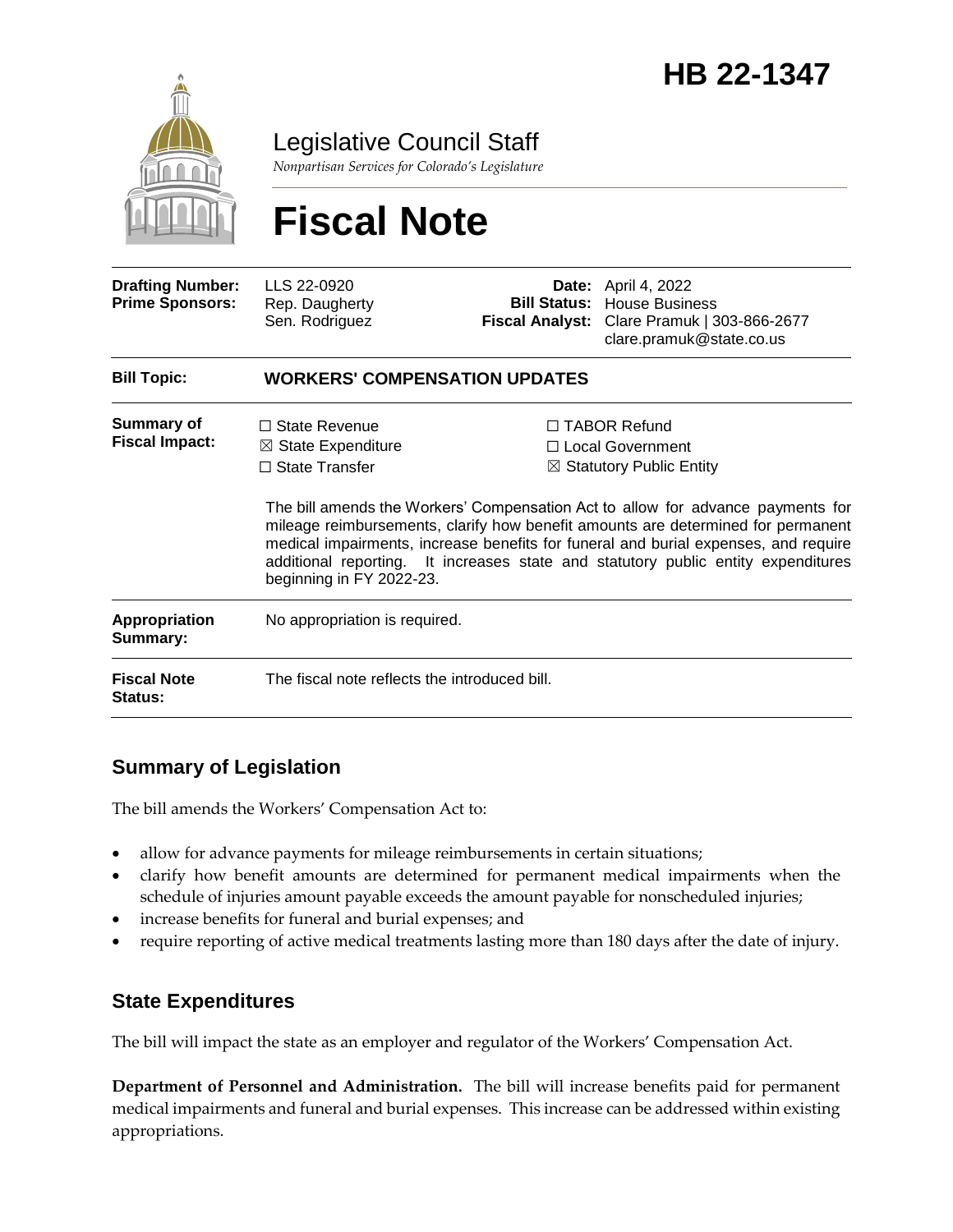

Legislative Council Staff

*Nonpartisan Services for Colorado's Legislature*

# **Fiscal Note**

| <b>Drafting Number:</b><br><b>Prime Sponsors:</b> | LLS 22-0920<br>Rep. Daugherty<br>Sen. Rodriguez                                                            | <b>Fiscal Analyst:</b> | <b>Date:</b> April 4, 2022<br><b>Bill Status: House Business</b><br>Clare Pramuk   303-866-2677<br>clare.pramuk@state.co.us                                                                                                                                                                                                                                                                                                         |  |
|---------------------------------------------------|------------------------------------------------------------------------------------------------------------|------------------------|-------------------------------------------------------------------------------------------------------------------------------------------------------------------------------------------------------------------------------------------------------------------------------------------------------------------------------------------------------------------------------------------------------------------------------------|--|
| <b>Bill Topic:</b>                                | <b>WORKERS' COMPENSATION UPDATES</b>                                                                       |                        |                                                                                                                                                                                                                                                                                                                                                                                                                                     |  |
| <b>Summary of</b><br><b>Fiscal Impact:</b>        | $\Box$ State Revenue<br>$\boxtimes$ State Expenditure<br>$\Box$ State Transfer<br>beginning in FY 2022-23. |                        | $\Box$ TABOR Refund<br>□ Local Government<br>$\boxtimes$ Statutory Public Entity<br>The bill amends the Workers' Compensation Act to allow for advance payments for<br>mileage reimbursements, clarify how benefit amounts are determined for permanent<br>medical impairments, increase benefits for funeral and burial expenses, and require<br>additional reporting. It increases state and statutory public entity expenditures |  |
| <b>Appropriation</b><br>Summary:                  | No appropriation is required.                                                                              |                        |                                                                                                                                                                                                                                                                                                                                                                                                                                     |  |
| <b>Fiscal Note</b><br>Status:                     | The fiscal note reflects the introduced bill.                                                              |                        |                                                                                                                                                                                                                                                                                                                                                                                                                                     |  |

## **Summary of Legislation**

The bill amends the Workers' Compensation Act to:

- allow for advance payments for mileage reimbursements in certain situations;
- clarify how benefit amounts are determined for permanent medical impairments when the schedule of injuries amount payable exceeds the amount payable for nonscheduled injuries;
- increase benefits for funeral and burial expenses; and
- require reporting of active medical treatments lasting more than 180 days after the date of injury.

### **State Expenditures**

The bill will impact the state as an employer and regulator of the Workers' Compensation Act.

**Department of Personnel and Administration.** The bill will increase benefits paid for permanent medical impairments and funeral and burial expenses. This increase can be addressed within existing appropriations.